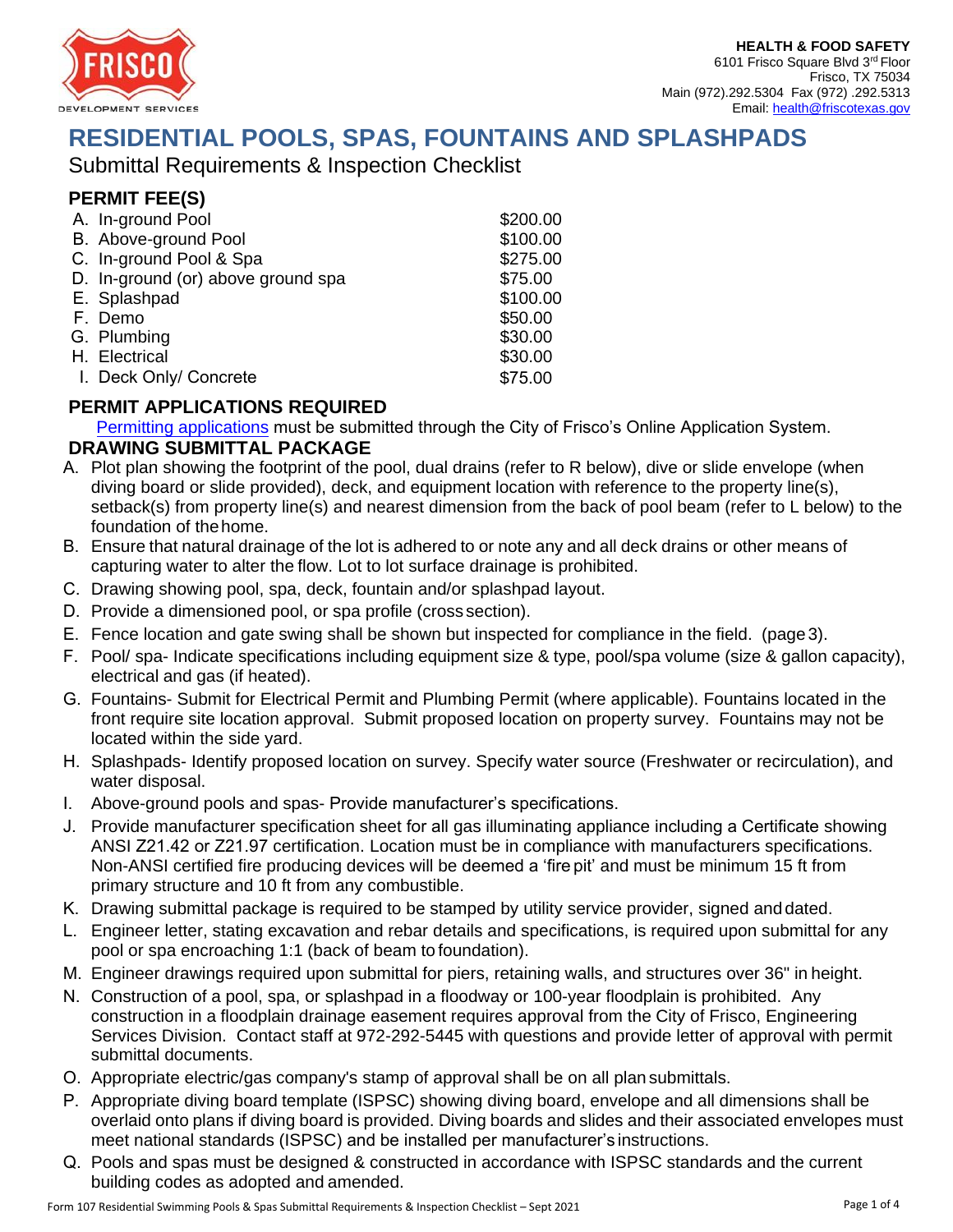

# **RESIDENTIAL POOLS, SPAS, FOUNTAINS AND SPLASHPADS**

Submittal Requirements & Inspection Checklist

# **PERMIT FEE(S)**

| A. In-ground Pool                  | \$200.00 |
|------------------------------------|----------|
| B. Above-ground Pool               | \$100.00 |
| C. In-ground Pool & Spa            | \$275.00 |
| D. In-ground (or) above ground spa | \$75.00  |
| E. Splashpad                       | \$100.00 |
| F. Demo                            | \$50.00  |
| G. Plumbing                        | \$30.00  |
| H. Electrical                      | \$30.00  |
| I. Deck Only/ Concrete             | \$75.00  |

## **P[ERMIT APPLICATIONS](https://www.friscotexas.gov/1696/Residential-Building-Permits) REQUIRED**

Permitting applications must be submitted through the City of Frisco's Online Application System.

#### **DRAWING SUBMITTAL PACKAGE**

- A. Plot plan showing the footprint of the pool, dual drains (refer to R below), dive or slide envelope (when diving board or slide provided), deck, and equipment location with reference to the property line(s), setback(s) from property line(s) and nearest dimension from the back of pool beam (refer to L below) to the foundation of the home.
- B. Ensure that natural drainage of the lot is adhered to or note any and all deck drains or other means of capturing water to alter the flow. Lot to lot surface drainage is prohibited.
- C. Drawing showing pool, spa, deck, fountain and/or splashpad layout.
- D. Provide a dimensioned pool, or spa profile (cross section).
- E. Fence location and gate swing shall be shown but inspected for compliance in the field. (page 3).
- F. Pool/ spa- Indicate specifications including equipment size & type, pool/spa volume (size & gallon capacity), electrical and gas (if heated).
- G. Fountains- Submit for Electrical Permit and Plumbing Permit (where applicable). Fountains located in the front require site location approval. Submit proposed location on property survey. Fountains may not be located within the side yard.
- H. Splashpads- Identify proposed location on survey. Specify water source (Freshwater or recirculation), and water disposal.
- I. Above-ground pools and spas- Provide manufacturer's specifications.
- J. Provide manufacturer specification sheet for all gas illuminating appliance including a Certificate showing ANSI Z21.42 or Z21.97 certification. Location must be in compliance with manufacturers specifications. Non-ANSI certified fire producing devices will be deemed a 'fire pit' and must be minimum 15 ft from primary structure and 10 ft from any combustible.
- K. Drawing submittal package is required to be stamped by utility service provider, signed and dated.
- L. Engineer letter, stating excavation and rebar details and specifications, is required upon submittal for any pool or spa encroaching 1:1 (back of beam to foundation).
- M. Engineer drawings required upon submittal for piers, retaining walls, and structures over 36" in height.
- N. Construction of a pool, spa, or splashpad in a floodway or 100-year floodplain is prohibited. Any construction in a floodplain drainage easement requires approval from the City of Frisco, Engineering Services Division. Contact staff at 972-292-5445 with questions and provide letter of approval with permit submittal documents.
- O. Appropriate electric/gas company's stamp of approval shall be on all plan submittals.
- P. Appropriate diving board template (ISPSC) showing diving board, envelope and all dimensions shall be overlaid onto plans if diving board is provided. Diving boards and slides and their associated envelopes must meet national standards (ISPSC) and be installed per manufacturer's instructions.
- Q. Pools and spas must be designed & constructed in accordance with ISPSC standards and the current building codes as adopted and amended.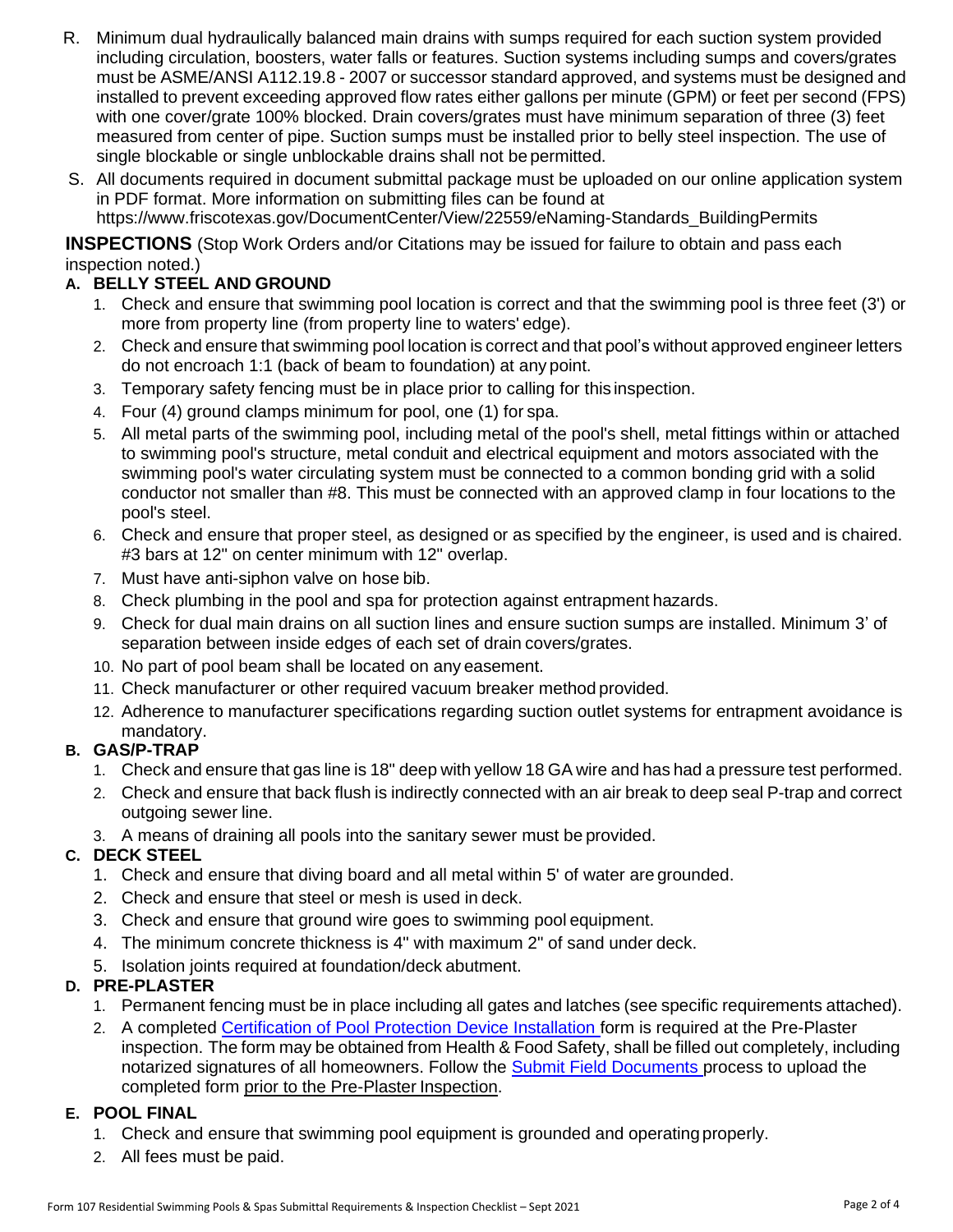- R. Minimum dual hydraulically balanced main drains with sumps required for each suction system provided including circulation, boosters, water falls or features. Suction systems including sumps and covers/grates must be ASME/ANSI A112.19.8 - 2007 or successor standard approved, and systems must be designed and installed to prevent exceeding approved flow rates either gallons per minute (GPM) or feet per second (FPS) with one cover/grate 100% blocked. Drain covers/grates must have minimum separation of three (3) feet measured from center of pipe. Suction sumps must be installed prior to belly steel inspection. The use of single blockable or single unblockable drains shall not be permitted.
- S. All documents required in document submittal package must be uploaded on our online application system in PDF format. More information on submitting files can be found at https://www.friscotexas.gov/DocumentCenter/View/22559/eNaming-Standards\_BuildingPermits

**INSPECTIONS** (Stop Work Orders and/or Citations may be issued for failure to obtain and pass each inspection noted.)

#### **A. BELLY STEEL AND GROUND**

- 1. Check and ensure that swimming pool location is correct and that the swimming pool is three feet (3') or more from property line (from property line to waters' edge).
- 2. Check and ensure that swimming pool location is correct and that pool's without approved engineer letters do not encroach 1:1 (back of beam to foundation) at any point.
- 3. Temporary safety fencing must be in place prior to calling for this inspection.
- 4. Four (4) ground clamps minimum for pool, one (1) for spa.
- 5. All metal parts of the swimming pool, including metal of the pool's shell, metal fittings within or attached to swimming pool's structure, metal conduit and electrical equipment and motors associated with the swimming pool's water circulating system must be connected to a common bonding grid with a solid conductor not smaller than #8. This must be connected with an approved clamp in four locations to the pool's steel.
- 6. Check and ensure that proper steel, as designed or as specified by the engineer, is used and is chaired. #3 bars at 12" on center minimum with 12" overlap.
- 7. Must have anti-siphon valve on hose bib.
- 8. Check plumbing in the pool and spa for protection against entrapment hazards.
- 9. Check for dual main drains on all suction lines and ensure suction sumps are installed. Minimum 3' of separation between inside edges of each set of drain covers/grates.
- 10. No part of pool beam shall be located on any easement.
- 11. Check manufacturer or other required vacuum breaker method provided.
- 12. Adherence to manufacturer specifications regarding suction outlet systems for entrapment avoidance is mandatory.

#### **B. GAS/P-TRAP**

- 1. Check and ensure that gas line is 18" deep with yellow 18 GA wire and has had a pressure test performed.
- 2. Check and ensure that back flush is indirectly connected with an air break to deep seal P-trap and correct outgoing sewer line.
- 3. A means of draining all pools into the sanitary sewer must be provided.

#### **C. DECK STEEL**

- 1. Check and ensure that diving board and all metal within 5' of water are grounded.
- 2. Check and ensure that steel or mesh is used in deck.
- 3. Check and ensure that ground wire goes to swimming pool equipment.
- 4. The minimum concrete thickness is 4" with maximum 2" of sand under deck.
- 5. Isolation joints required at foundation/deck abutment.

#### **D. PRE-PLASTER**

- 1. Permanent fencing must be in place including all gates and latches (see specific requirements attached).
- 2. A completed [Certification of Pool Protection Device Installation f](https://www.friscotexas.gov/DocumentCenter/View/103)orm is required at the Pre-Plaster inspection. The form may be obtained from Health & Food Safety, shall be filled out completely, including notarized signatures of all homeowners. Follow the [Submit Field Documents p](https://www.friscotexas.gov/399/Inspections)rocess to upload the completed form prior to the Pre-Plaster Inspection.

#### **E. POOL FINAL**

- 1. Check and ensure that swimming pool equipment is grounded and operating properly.
- 2. All fees must be paid.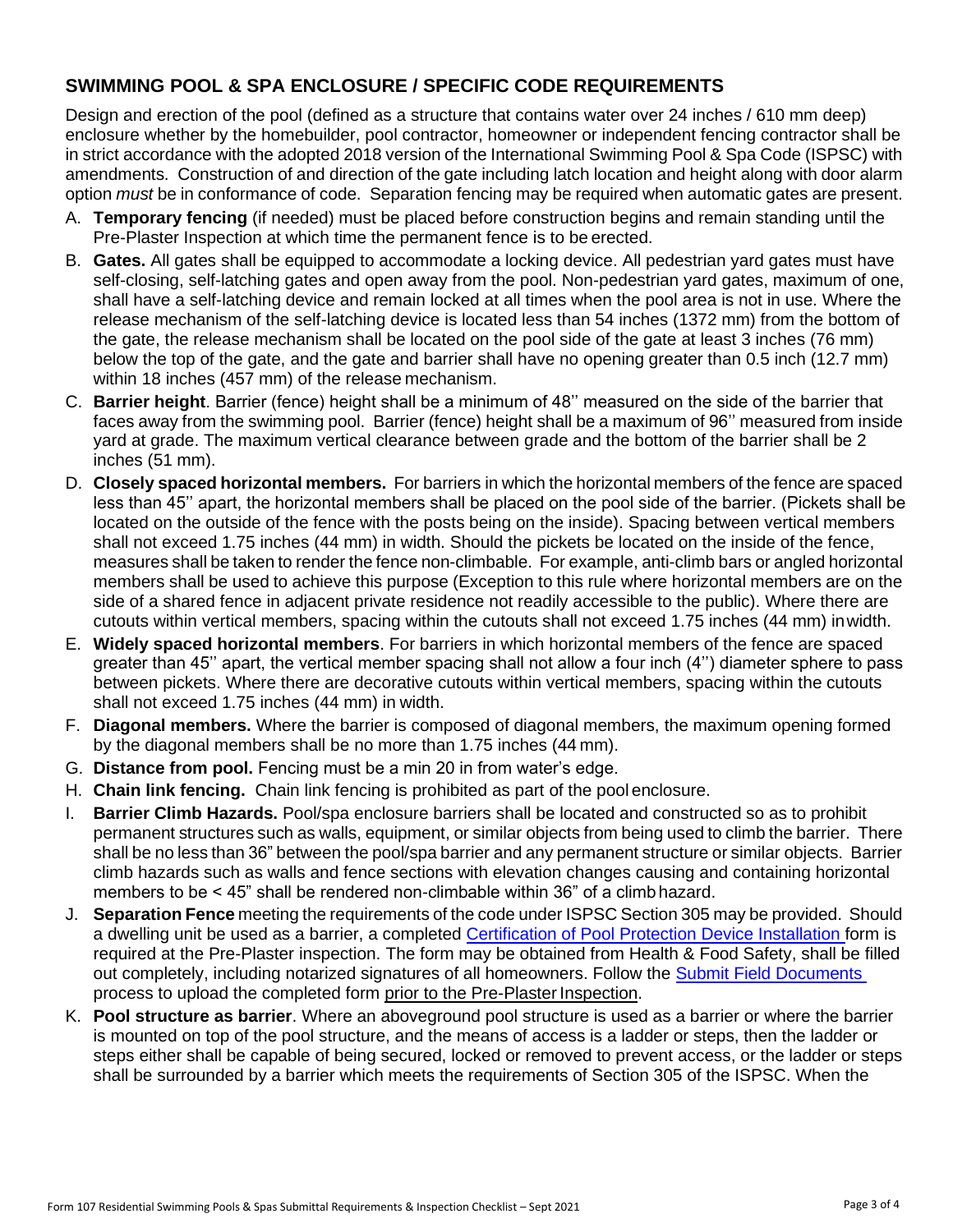## **SWIMMING POOL & SPA ENCLOSURE / SPECIFIC CODE REQUIREMENTS**

Design and erection of the pool (defined as a structure that contains water over 24 inches / 610 mm deep) enclosure whether by the homebuilder, pool contractor, homeowner or independent fencing contractor shall be in strict accordance with the adopted 2018 version of the International Swimming Pool & Spa Code (ISPSC) with amendments. Construction of and direction of the gate including latch location and height along with door alarm option *must* be in conformance of code. Separation fencing may be required when automatic gates are present.

- A. **Temporary fencing** (if needed) must be placed before construction begins and remain standing until the Pre-Plaster Inspection at which time the permanent fence is to be erected.
- B. **Gates.** All gates shall be equipped to accommodate a locking device. All pedestrian yard gates must have self-closing, self-latching gates and open away from the pool. Non-pedestrian yard gates, maximum of one, shall have a self-latching device and remain locked at all times when the pool area is not in use. Where the release mechanism of the self-latching device is located less than 54 inches (1372 mm) from the bottom of the gate, the release mechanism shall be located on the pool side of the gate at least 3 inches (76 mm) below the top of the gate, and the gate and barrier shall have no opening greater than 0.5 inch (12.7 mm) within 18 inches (457 mm) of the release mechanism.
- C. **Barrier height**. Barrier (fence) height shall be a minimum of 48'' measured on the side of the barrier that faces away from the swimming pool. Barrier (fence) height shall be a maximum of 96'' measured from inside yard at grade. The maximum vertical clearance between grade and the bottom of the barrier shall be 2 inches (51 mm).
- D. **Closely spaced horizontal members.** For barriers in which the horizontal members of the fence are spaced less than 45'' apart, the horizontal members shall be placed on the pool side of the barrier. (Pickets shall be located on the outside of the fence with the posts being on the inside). Spacing between vertical members shall not exceed 1.75 inches (44 mm) in width. Should the pickets be located on the inside of the fence, measures shall be taken to render the fence non-climbable. For example, anti-climb bars or angled horizontal members shall be used to achieve this purpose (Exception to this rule where horizontal members are on the side of a shared fence in adjacent private residence not readily accessible to the public). Where there are cutouts within vertical members, spacing within the cutouts shall not exceed 1.75 inches (44 mm) inwidth.
- E. **Widely spaced horizontal members**. For barriers in which horizontal members of the fence are spaced greater than 45'' apart, the vertical member spacing shall not allow a four inch (4'') diameter sphere to pass between pickets. Where there are decorative cutouts within vertical members, spacing within the cutouts shall not exceed 1.75 inches (44 mm) in width.
- F. **Diagonal members.** Where the barrier is composed of diagonal members, the maximum opening formed by the diagonal members shall be no more than 1.75 inches (44 mm).
- G. **Distance from pool.** Fencing must be a min 20 in from water's edge.
- H. **Chain link fencing.** Chain link fencing is prohibited as part of the pool enclosure.
- I. **Barrier Climb Hazards.** Pool/spa enclosure barriers shall be located and constructed so as to prohibit permanent structures such as walls, equipment, or similar objects from being used to climb the barrier. There shall be no less than 36" between the pool/spa barrier and any permanent structure or similar objects. Barrier climb hazards such as walls and fence sections with elevation changes causing and containing horizontal members to be < 45" shall be rendered non-climbable within 36" of a climbhazard.
- J. **Separation Fence** meeting the requirements of the code under ISPSC Section 305 may be provided. Should a dwelling unit be used as a barrier, a completed [Certification of Pool Protection Device Installation f](https://www.friscotexas.gov/DocumentCenter/View/103)orm is required at the Pre-Plaster inspection. The form may be obtained from Health & Food Safety, shall be filled out completely, including notarized signatures of all homeowners. Follow the **Submit Field Documents** process to upload the completed form prior to the Pre-Plaster Inspection.
- K. **Pool structure as barrier**. Where an aboveground pool structure is used as a barrier or where the barrier is mounted on top of the pool structure, and the means of access is a ladder or steps, then the ladder or steps either shall be capable of being secured, locked or removed to prevent access, or the ladder or steps shall be surrounded by a barrier which meets the requirements of Section 305 of the ISPSC. When the